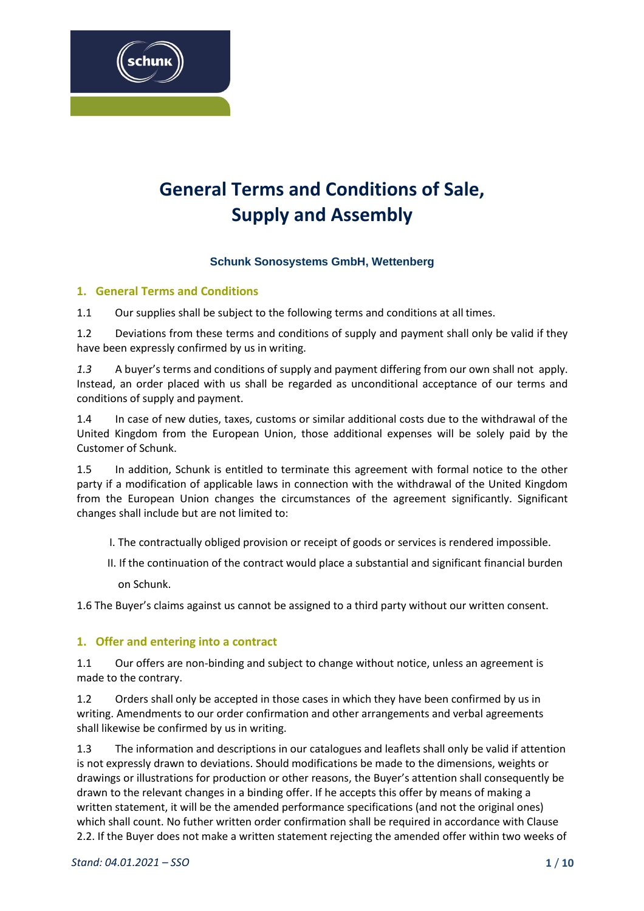

# **General Terms and Conditions of Sale, Supply and Assembly**

# **Schunk Sonosystems GmbH, Wettenberg**

# **1. General Terms and Conditions**

1.1 Our supplies shall be subject to the following terms and conditions at all times.

1.2 Deviations from these terms and conditions of supply and payment shall only be valid if they have been expressly confirmed by us in writing.

*1.3* A buyer's terms and conditions of supply and payment differing from our own shall not apply. Instead, an order placed with us shall be regarded as unconditional acceptance of our terms and conditions of supply and payment.

1.4 In case of new duties, taxes, customs or similar additional costs due to the withdrawal of the United Kingdom from the European Union, those additional expenses will be solely paid by the Customer of Schunk.

1.5 In addition, Schunk is entitled to terminate this agreement with formal notice to the other party if a modification of applicable laws in connection with the withdrawal of the United Kingdom from the European Union changes the circumstances of the agreement significantly. Significant changes shall include but are not limited to:

I. The contractually obliged provision or receipt of goods or services is rendered impossible.

II. If the continuation of the contract would place a substantial and significant financial burden

on Schunk.

1.6 The Buyer's claims against us cannot be assigned to a third party without our written consent.

# **1. Offer and entering into a contract**

1.1 Our offers are non-binding and subject to change without notice, unless an agreement is made to the contrary.

1.2 Orders shall only be accepted in those cases in which they have been confirmed by us in writing. Amendments to our order confirmation and other arrangements and verbal agreements shall likewise be confirmed by us in writing.

1.3 The information and descriptions in our catalogues and leaflets shall only be valid if attention is not expressly drawn to deviations. Should modifications be made to the dimensions, weights or drawings or illustrations for production or other reasons, the Buyer's attention shall consequently be drawn to the relevant changes in a binding offer. If he accepts this offer by means of making a written statement, it will be the amended performance specifications (and not the original ones) which shall count. No futher written order confirmation shall be required in accordance with Clause 2.2. If the Buyer does not make a written statement rejecting the amended offer within two weeks of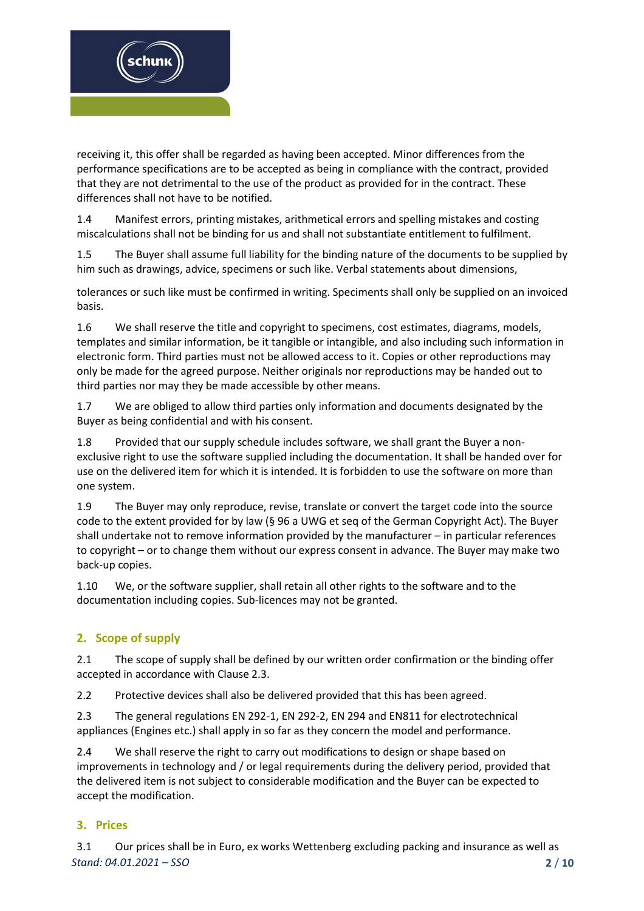

receiving it, this offer shall be regarded as having been accepted. Minor differences from the performance specifications are to be accepted as being in compliance with the contract, provided that they are not detrimental to the use of the product as provided for in the contract. These differences shall not have to be notified.

1.4 Manifest errors, printing mistakes, arithmetical errors and spelling mistakes and costing miscalculations shall not be binding for us and shall not substantiate entitlement to fulfilment.

1.5 The Buyer shall assume full liability for the binding nature of the documents to be supplied by him such as drawings, advice, specimens or such like. Verbal statements about dimensions,

tolerances or such like must be confirmed in writing. Speciments shall only be supplied on an invoiced basis.

1.6 We shall reserve the title and copyright to specimens, cost estimates, diagrams, models, templates and similar information, be it tangible or intangible, and also including such information in electronic form. Third parties must not be allowed access to it. Copies or other reproductions may only be made for the agreed purpose. Neither originals nor reproductions may be handed out to third parties nor may they be made accessible by other means.

1.7 We are obliged to allow third parties only information and documents designated by the Buyer as being confidential and with his consent.

1.8 Provided that our supply schedule includes software, we shall grant the Buyer a nonexclusive right to use the software supplied including the documentation. It shall be handed over for use on the delivered item for which it is intended. It is forbidden to use the software on more than one system.

1.9 The Buyer may only reproduce, revise, translate or convert the target code into the source code to the extent provided for by law (§ 96 a UWG et seq of the German Copyright Act). The Buyer shall undertake not to remove information provided by the manufacturer – in particular references to copyright – or to change them without our express consent in advance. The Buyer may make two back-up copies.

1.10 We, or the software supplier, shall retain all other rights to the software and to the documentation including copies. Sub-licences may not be granted.

# **2. Scope of supply**

2.1 The scope of supply shall be defined by our written order confirmation or the binding offer accepted in accordance with Clause 2.3.

2.2 Protective devices shall also be delivered provided that this has been agreed.

2.3 The general regulations EN 292-1, EN 292-2, EN 294 and EN811 for electrotechnical appliances (Engines etc.) shall apply in so far as they concern the model and performance.

2.4 We shall reserve the right to carry out modifications to design or shape based on improvements in technology and / or legal requirements during the delivery period, provided that the delivered item is not subject to considerable modification and the Buyer can be expected to accept the modification.

# **3. Prices**

*Stand: 04.01.2021 – SSO* **2** / **10** 3.1 Our prices shall be in Euro, ex works Wettenberg excluding packing and insurance as well as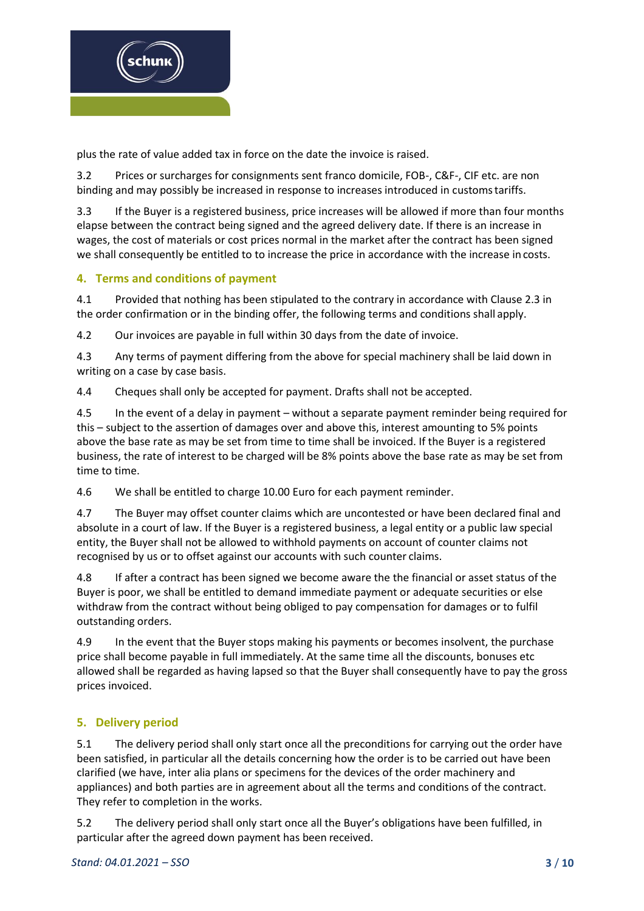

plus the rate of value added tax in force on the date the invoice is raised.

3.2 Prices or surcharges for consignments sent franco domicile, FOB-, C&F-, CIF etc. are non binding and may possibly be increased in response to increases introduced in customstariffs.

3.3 If the Buyer is a registered business, price increases will be allowed if more than four months elapse between the contract being signed and the agreed delivery date. If there is an increase in wages, the cost of materials or cost prices normal in the market after the contract has been signed we shall consequently be entitled to to increase the price in accordance with the increase in costs.

# **4. Terms and conditions of payment**

4.1 Provided that nothing has been stipulated to the contrary in accordance with Clause 2.3 in the order confirmation or in the binding offer, the following terms and conditions shall apply.

4.2 Our invoices are payable in full within 30 days from the date of invoice.

4.3 Any terms of payment differing from the above for special machinery shall be laid down in writing on a case by case basis.

4.4 Cheques shall only be accepted for payment. Drafts shall not be accepted.

4.5 In the event of a delay in payment – without a separate payment reminder being required for this – subject to the assertion of damages over and above this, interest amounting to 5% points above the base rate as may be set from time to time shall be invoiced. If the Buyer is a registered business, the rate of interest to be charged will be 8% points above the base rate as may be set from time to time.

4.6 We shall be entitled to charge 10.00 Euro for each payment reminder.

4.7 The Buyer may offset counter claims which are uncontested or have been declared final and absolute in a court of law. If the Buyer is a registered business, a legal entity or a public law special entity, the Buyer shall not be allowed to withhold payments on account of counter claims not recognised by us or to offset against our accounts with such counter claims.

4.8 If after a contract has been signed we become aware the the financial or asset status of the Buyer is poor, we shall be entitled to demand immediate payment or adequate securities or else withdraw from the contract without being obliged to pay compensation for damages or to fulfil outstanding orders.

4.9 In the event that the Buyer stops making his payments or becomes insolvent, the purchase price shall become payable in full immediately. At the same time all the discounts, bonuses etc allowed shall be regarded as having lapsed so that the Buyer shall consequently have to pay the gross prices invoiced.

# **5. Delivery period**

5.1 The delivery period shall only start once all the preconditions for carrying out the order have been satisfied, in particular all the details concerning how the order is to be carried out have been clarified (we have, inter alia plans or specimens for the devices of the order machinery and appliances) and both parties are in agreement about all the terms and conditions of the contract. They refer to completion in the works.

5.2 The delivery period shall only start once all the Buyer's obligations have been fulfilled, in particular after the agreed down payment has been received.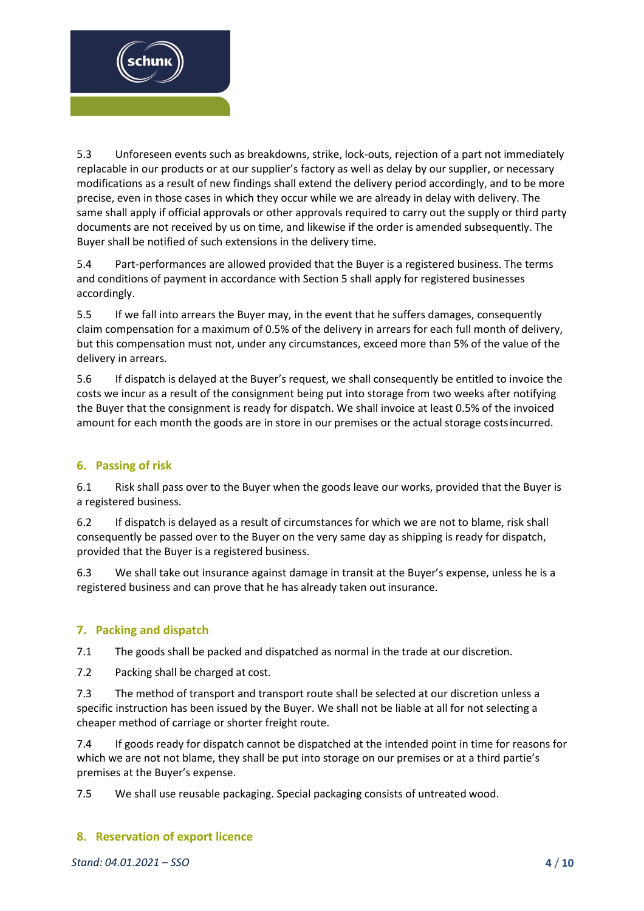

5.3 Unforeseen events such as breakdowns, strike, lock-outs, rejection of a part not immediately replacable in our products or at our supplier's factory as well as delay by our supplier, or necessary modifications as a result of new findings shall extend the delivery period accordingly, and to be more precise, even in those cases in which they occur while we are already in delay with delivery. The same shall apply if official approvals or other approvals required to carry out the supply or third party documents are not received by us on time, and likewise if the order is amended subsequently. The Buyer shall be notified of such extensions in the delivery time.

5.4 Part-performances are allowed provided that the Buyer is a registered business. The terms and conditions of payment in accordance with Section 5 shall apply for registered businesses accordingly.

5.5 If we fall into arrears the Buyer may, in the event that he suffers damages, consequently claim compensation for a maximum of 0.5% of the delivery in arrears for each full month of delivery, but this compensation must not, under any circumstances, exceed more than 5% of the value of the delivery in arrears.

5.6 If dispatch is delayed at the Buyer's request, we shall consequently be entitled to invoice the costs we incur as a result of the consignment being put into storage from two weeks after notifying the Buyer that the consignment is ready for dispatch. We shall invoice at least 0.5% of the invoiced amount for each month the goods are in store in our premises or the actual storage costsincurred.

# **6. Passing of risk**

6.1 Risk shall pass over to the Buyer when the goods leave our works, provided that the Buyer is a registered business.

6.2 If dispatch is delayed as a result of circumstances for which we are not to blame, risk shall consequently be passed over to the Buyer on the very same day as shipping is ready for dispatch, provided that the Buyer is a registered business.

6.3 We shall take out insurance against damage in transit at the Buyer's expense, unless he is a registered business and can prove that he has already taken out insurance.

# **7. Packing and dispatch**

7.1 The goods shall be packed and dispatched as normal in the trade at our discretion.

7.2 Packing shall be charged at cost.

7.3 The method of transport and transport route shall be selected at our discretion unless a specific instruction has been issued by the Buyer. We shall not be liable at all for not selecting a cheaper method of carriage or shorter freight route.

7.4 If goods ready for dispatch cannot be dispatched at the intended point in time for reasons for which we are not not blame, they shall be put into storage on our premises or at a third partie's premises at the Buyer's expense.

7.5 We shall use reusable packaging. Special packaging consists of untreated wood.

# **8. Reservation of export licence**

*Stand: 04.01.2021 – SSO* **4** / **10**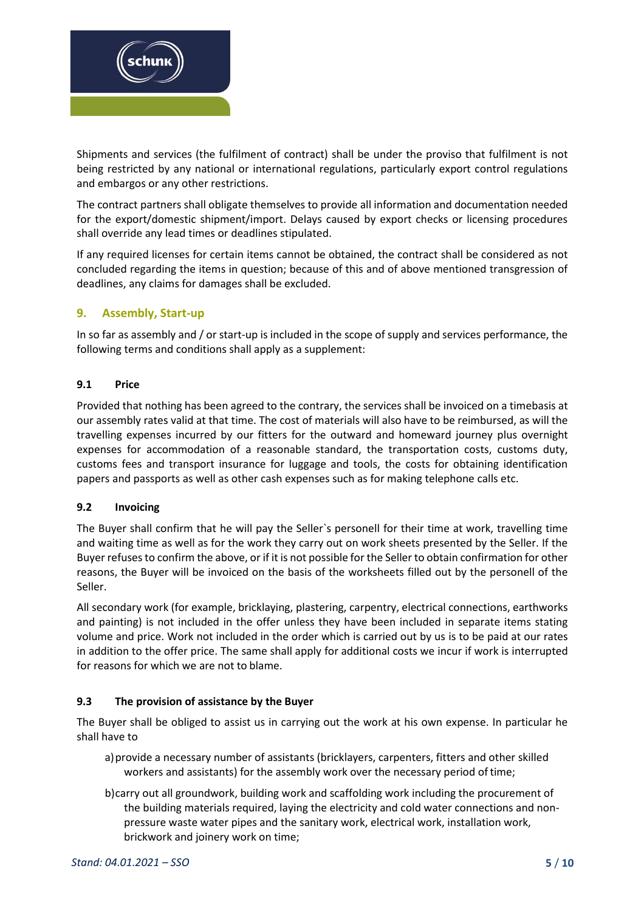

Shipments and services (the fulfilment of contract) shall be under the proviso that fulfilment is not being restricted by any national or international regulations, particularly export control regulations and embargos or any other restrictions.

The contract partners shall obligate themselves to provide all information and documentation needed for the export/domestic shipment/import. Delays caused by export checks or licensing procedures shall override any lead times or deadlines stipulated.

If any required licenses for certain items cannot be obtained, the contract shall be considered as not concluded regarding the items in question; because of this and of above mentioned transgression of deadlines, any claims for damages shall be excluded.

# **9. Assembly, Start-up**

In so far as assembly and / or start-up is included in the scope of supply and services performance, the following terms and conditions shall apply as a supplement:

# **9.1 Price**

Provided that nothing has been agreed to the contrary, the services shall be invoiced on a timebasis at our assembly rates valid at that time. The cost of materials will also have to be reimbursed, as will the travelling expenses incurred by our fitters for the outward and homeward journey plus overnight expenses for accommodation of a reasonable standard, the transportation costs, customs duty, customs fees and transport insurance for luggage and tools, the costs for obtaining identification papers and passports as well as other cash expenses such as for making telephone calls etc.

#### **9.2 Invoicing**

The Buyer shall confirm that he will pay the Seller`s personell for their time at work, travelling time and waiting time as well as for the work they carry out on work sheets presented by the Seller. If the Buyer refuses to confirm the above, or if it is not possible for the Seller to obtain confirmation for other reasons, the Buyer will be invoiced on the basis of the worksheets filled out by the personell of the Seller.

All secondary work (for example, bricklaying, plastering, carpentry, electrical connections, earthworks and painting) is not included in the offer unless they have been included in separate items stating volume and price. Work not included in the order which is carried out by us is to be paid at our rates in addition to the offer price. The same shall apply for additional costs we incur if work is interrupted for reasons for which we are not to blame.

# **9.3 The provision of assistance by the Buyer**

The Buyer shall be obliged to assist us in carrying out the work at his own expense. In particular he shall have to

- a)provide a necessary number of assistants (bricklayers, carpenters, fitters and other skilled workers and assistants) for the assembly work over the necessary period oftime;
- b)carry out all groundwork, building work and scaffolding work including the procurement of the building materials required, laying the electricity and cold water connections and nonpressure waste water pipes and the sanitary work, electrical work, installation work, brickwork and joinery work on time;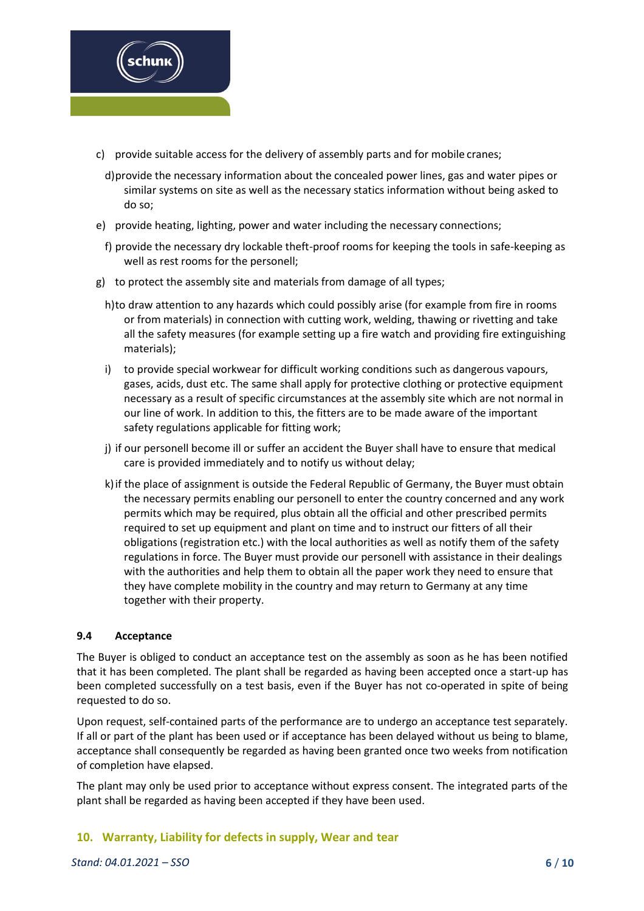

- c) provide suitable access for the delivery of assembly parts and for mobile cranes;
- d)provide the necessary information about the concealed power lines, gas and water pipes or similar systems on site as well as the necessary statics information without being asked to do so;
- e) provide heating, lighting, power and water including the necessary connections;
- f) provide the necessary dry lockable theft-proof rooms for keeping the tools in safe-keeping as well as rest rooms for the personell;
- g) to protect the assembly site and materials from damage of all types;
	- h)to draw attention to any hazards which could possibly arise (for example from fire in rooms or from materials) in connection with cutting work, welding, thawing or rivetting and take all the safety measures (for example setting up a fire watch and providing fire extinguishing materials);
	- i) to provide special workwear for difficult working conditions such as dangerous vapours, gases, acids, dust etc. The same shall apply for protective clothing or protective equipment necessary as a result of specific circumstances at the assembly site which are not normal in our line of work. In addition to this, the fitters are to be made aware of the important safety regulations applicable for fitting work;
	- j) if our personell become ill or suffer an accident the Buyer shall have to ensure that medical care is provided immediately and to notify us without delay;
	- k)if the place of assignment is outside the Federal Republic of Germany, the Buyer must obtain the necessary permits enabling our personell to enter the country concerned and any work permits which may be required, plus obtain all the official and other prescribed permits required to set up equipment and plant on time and to instruct our fitters of all their obligations (registration etc.) with the local authorities as well as notify them of the safety regulations in force. The Buyer must provide our personell with assistance in their dealings with the authorities and help them to obtain all the paper work they need to ensure that they have complete mobility in the country and may return to Germany at any time together with their property.

#### **9.4 Acceptance**

The Buyer is obliged to conduct an acceptance test on the assembly as soon as he has been notified that it has been completed. The plant shall be regarded as having been accepted once a start-up has been completed successfully on a test basis, even if the Buyer has not co-operated in spite of being requested to do so.

Upon request, self-contained parts of the performance are to undergo an acceptance test separately. If all or part of the plant has been used or if acceptance has been delayed without us being to blame, acceptance shall consequently be regarded as having been granted once two weeks from notification of completion have elapsed.

The plant may only be used prior to acceptance without express consent. The integrated parts of the plant shall be regarded as having been accepted if they have been used.

#### **10. Warranty, Liability for defects in supply, Wear and tear**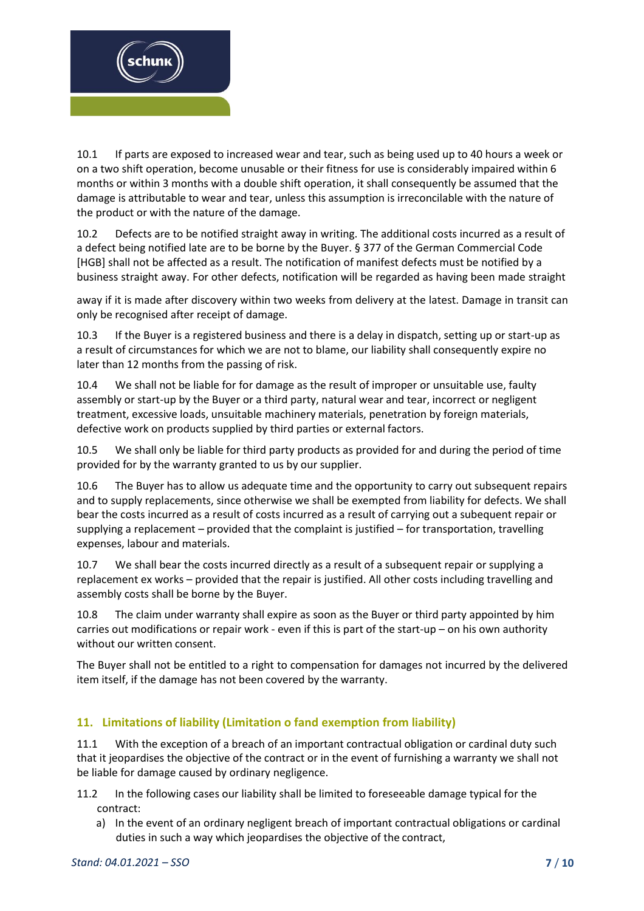

10.1 If parts are exposed to increased wear and tear, such as being used up to 40 hours a week or on a two shift operation, become unusable or their fitness for use is considerably impaired within 6 months or within 3 months with a double shift operation, it shall consequently be assumed that the damage is attributable to wear and tear, unless this assumption is irreconcilable with the nature of the product or with the nature of the damage.

10.2 Defects are to be notified straight away in writing. The additional costs incurred as a result of a defect being notified late are to be borne by the Buyer. § 377 of the German Commercial Code [HGB] shall not be affected as a result. The notification of manifest defects must be notified by a business straight away. For other defects, notification will be regarded as having been made straight

away if it is made after discovery within two weeks from delivery at the latest. Damage in transit can only be recognised after receipt of damage.

10.3 If the Buyer is a registered business and there is a delay in dispatch, setting up or start-up as a result of circumstances for which we are not to blame, our liability shall consequently expire no later than 12 months from the passing of risk.

10.4 We shall not be liable for for damage as the result of improper or unsuitable use, faulty assembly or start-up by the Buyer or a third party, natural wear and tear, incorrect or negligent treatment, excessive loads, unsuitable machinery materials, penetration by foreign materials, defective work on products supplied by third parties or external factors.

10.5 We shall only be liable for third party products as provided for and during the period of time provided for by the warranty granted to us by our supplier.

10.6 The Buyer has to allow us adequate time and the opportunity to carry out subsequent repairs and to supply replacements, since otherwise we shall be exempted from liability for defects. We shall bear the costs incurred as a result of costs incurred as a result of carrying out a subequent repair or supplying a replacement – provided that the complaint is justified – for transportation, travelling expenses, labour and materials.

10.7 We shall bear the costs incurred directly as a result of a subsequent repair or supplying a replacement ex works – provided that the repair is justified. All other costs including travelling and assembly costs shall be borne by the Buyer.

10.8 The claim under warranty shall expire as soon as the Buyer or third party appointed by him carries out modifications or repair work - even if this is part of the start-up – on his own authority without our written consent.

The Buyer shall not be entitled to a right to compensation for damages not incurred by the delivered item itself, if the damage has not been covered by the warranty.

# **11. Limitations of liability (Limitation o fand exemption from liability)**

11.1 With the exception of a breach of an important contractual obligation or cardinal duty such that it jeopardises the objective of the contract or in the event of furnishing a warranty we shall not be liable for damage caused by ordinary negligence.

- 11.2 In the following cases our liability shall be limited to foreseeable damage typical for the contract:
	- a) In the event of an ordinary negligent breach of important contractual obligations or cardinal duties in such a way which jeopardises the objective of the contract,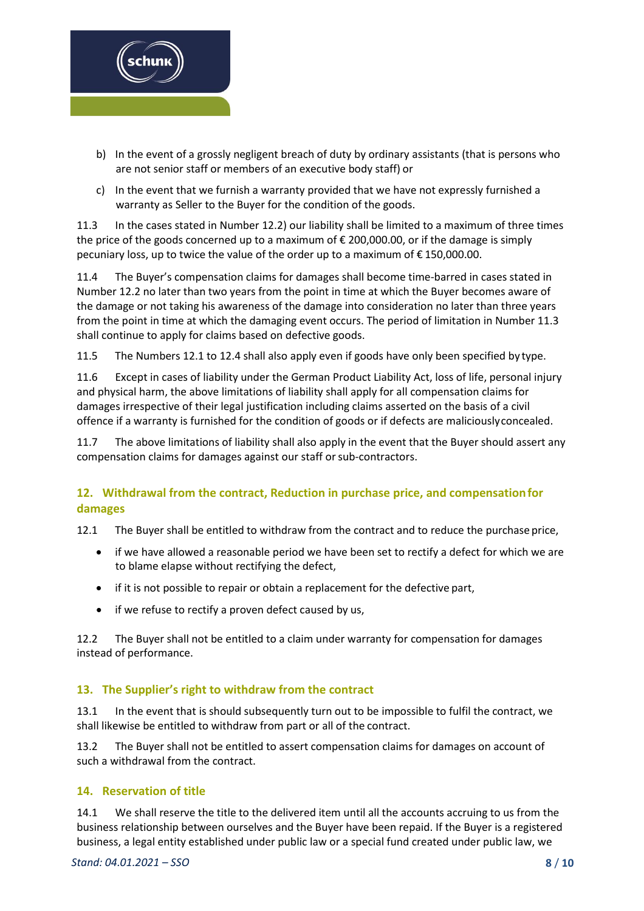

- b) In the event of a grossly negligent breach of duty by ordinary assistants (that is persons who are not senior staff or members of an executive body staff) or
- c) In the event that we furnish a warranty provided that we have not expressly furnished a warranty as Seller to the Buyer for the condition of the goods.

11.3 In the cases stated in Number 12.2) our liability shall be limited to a maximum of three times the price of the goods concerned up to a maximum of  $\epsilon$  200,000.00, or if the damage is simply pecuniary loss, up to twice the value of the order up to a maximum of  $\epsilon$  150,000.00.

11.4 The Buyer's compensation claims for damages shall become time-barred in cases stated in Number 12.2 no later than two years from the point in time at which the Buyer becomes aware of the damage or not taking his awareness of the damage into consideration no later than three years from the point in time at which the damaging event occurs. The period of limitation in Number 11.3 shall continue to apply for claims based on defective goods.

11.5 The Numbers 12.1 to 12.4 shall also apply even if goods have only been specified by type.

11.6 Except in cases of liability under the German Product Liability Act, loss of life, personal injury and physical harm, the above limitations of liability shall apply for all compensation claims for damages irrespective of their legal justification including claims asserted on the basis of a civil offence if a warranty is furnished for the condition of goods or if defects are maliciouslyconcealed.

11.7 The above limitations of liability shall also apply in the event that the Buyer should assert any compensation claims for damages against our staff or sub-contractors.

# **12. Withdrawal from the contract, Reduction in purchase price, and compensationfor damages**

12.1 The Buyer shall be entitled to withdraw from the contract and to reduce the purchase price,

- if we have allowed a reasonable period we have been set to rectify a defect for which we are to blame elapse without rectifying the defect,
- if it is not possible to repair or obtain a replacement for the defective part,
- if we refuse to rectify a proven defect caused by us,

12.2 The Buyer shall not be entitled to a claim under warranty for compensation for damages instead of performance.

# **13. The Supplier's right to withdraw from the contract**

13.1 In the event that is should subsequently turn out to be impossible to fulfil the contract, we shall likewise be entitled to withdraw from part or all of the contract.

13.2 The Buyer shall not be entitled to assert compensation claims for damages on account of such a withdrawal from the contract.

# **14. Reservation of title**

14.1 We shall reserve the title to the delivered item until all the accounts accruing to us from the business relationship between ourselves and the Buyer have been repaid. If the Buyer is a registered business, a legal entity established under public law or a special fund created under public law, we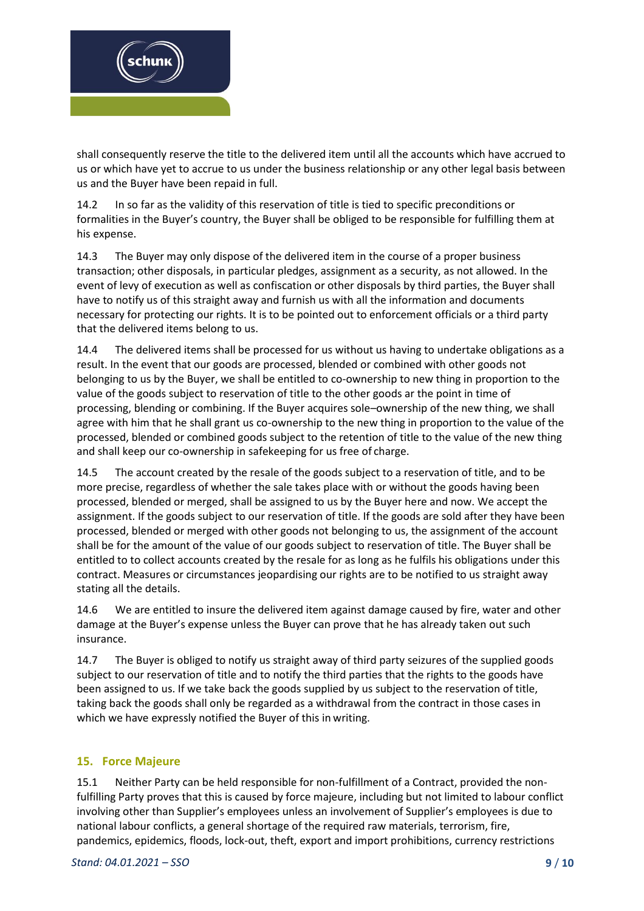

shall consequently reserve the title to the delivered item until all the accounts which have accrued to us or which have yet to accrue to us under the business relationship or any other legal basis between us and the Buyer have been repaid in full.

14.2 In so far as the validity of this reservation of title is tied to specific preconditions or formalities in the Buyer's country, the Buyer shall be obliged to be responsible for fulfilling them at his expense.

14.3 The Buyer may only dispose of the delivered item in the course of a proper business transaction; other disposals, in particular pledges, assignment as a security, as not allowed. In the event of levy of execution as well as confiscation or other disposals by third parties, the Buyer shall have to notify us of this straight away and furnish us with all the information and documents necessary for protecting our rights. It is to be pointed out to enforcement officials or a third party that the delivered items belong to us.

14.4 The delivered items shall be processed for us without us having to undertake obligations as a result. In the event that our goods are processed, blended or combined with other goods not belonging to us by the Buyer, we shall be entitled to co-ownership to new thing in proportion to the value of the goods subject to reservation of title to the other goods ar the point in time of processing, blending or combining. If the Buyer acquires sole–ownership of the new thing, we shall agree with him that he shall grant us co-ownership to the new thing in proportion to the value of the processed, blended or combined goods subject to the retention of title to the value of the new thing and shall keep our co-ownership in safekeeping for us free of charge.

14.5 The account created by the resale of the goods subject to a reservation of title, and to be more precise, regardless of whether the sale takes place with or without the goods having been processed, blended or merged, shall be assigned to us by the Buyer here and now. We accept the assignment. If the goods subject to our reservation of title. If the goods are sold after they have been processed, blended or merged with other goods not belonging to us, the assignment of the account shall be for the amount of the value of our goods subject to reservation of title. The Buyer shall be entitled to to collect accounts created by the resale for as long as he fulfils his obligations under this contract. Measures or circumstances jeopardising our rights are to be notified to us straight away stating all the details.

14.6 We are entitled to insure the delivered item against damage caused by fire, water and other damage at the Buyer's expense unless the Buyer can prove that he has already taken out such insurance.

14.7 The Buyer is obliged to notify us straight away of third party seizures of the supplied goods subject to our reservation of title and to notify the third parties that the rights to the goods have been assigned to us. If we take back the goods supplied by us subject to the reservation of title, taking back the goods shall only be regarded as a withdrawal from the contract in those cases in which we have expressly notified the Buyer of this in writing.

# **15. Force Majeure**

15.1 Neither Party can be held responsible for non-fulfillment of a Contract, provided the nonfulfilling Party proves that this is caused by force majeure, including but not limited to labour conflict involving other than Supplier's employees unless an involvement of Supplier's employees is due to national labour conflicts, a general shortage of the required raw materials, terrorism, fire, pandemics, epidemics, floods, lock-out, theft, export and import prohibitions, currency restrictions